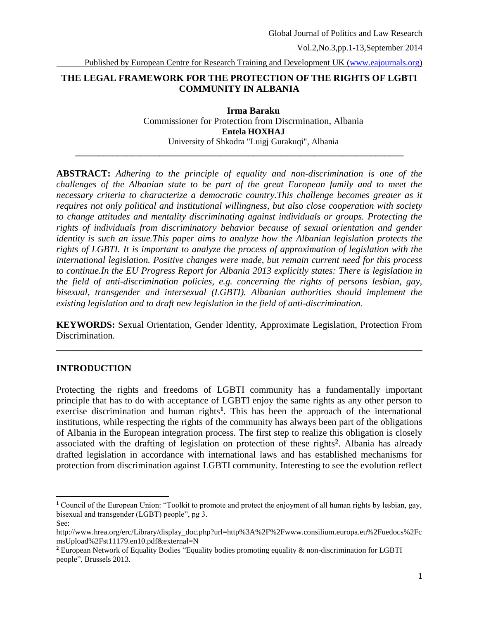Published by European Centre for Research Training and Development UK [\(www.eajournals.org\)](http://www.eajournals.org/)

## **THE LEGAL FRAMEWORK FOR THE PROTECTION OF THE RIGHTS OF LGBTI COMMUNITY IN ALBANIA**

**\_\_\_\_\_\_\_\_\_\_\_\_\_\_\_\_\_\_\_\_\_\_\_\_\_\_\_\_\_\_\_\_\_\_\_\_\_\_\_\_\_\_\_\_\_\_\_\_\_\_\_\_\_\_\_\_\_\_\_\_\_\_\_\_\_\_\_\_\_\_**

**Irma Baraku** Commissioner for Protection from Discrmination, Albania **Entela HOXHAJ** University of Shkodra "Luigj Gurakuqi", Albania

**ABSTRACT:** *Adhering to the principle of equality and non-discrimination is one of the challenges of the Albanian state to be part of the great European family and to meet the necessary criteria to characterize a democratic country.This challenge becomes greater as it requires not only political and institutional willingness, but also close cooperation with society to change attitudes and mentality discriminating against individuals or groups. Protecting the rights of individuals from discriminatory behavior because of sexual orientation and gender identity is such an issue.This paper aims to analyze how the Albanian legislation protects the rights of LGBTI. It is important to analyze the process of approximation of legislation with the international legislation. Positive changes were made, but remain current need for this process to continue.In the EU Progress Report for Albania 2013 explicitly states: There is legislation in the field of anti-discrimination policies, e.g. concerning the rights of persons lesbian, gay, bisexual, transgender and intersexual (LGBTI). Albanian authorities should implement the existing legislation and to draft new legislation in the field of anti-discrimination*.

**KEYWORDS:** Sexual Orientation, Gender Identity, Approximate Legislation, Protection From Discrimination.

**\_\_\_\_\_\_\_\_\_\_\_\_\_\_\_\_\_\_\_\_\_\_\_\_\_\_\_\_\_\_\_\_\_\_\_\_\_\_\_\_\_\_\_\_\_\_\_\_\_\_\_\_\_\_\_\_\_\_\_\_\_\_\_\_\_\_\_\_\_\_\_\_\_\_\_\_\_\_**

### **INTRODUCTION**

Protecting the rights and freedoms of LGBTI community has a fundamentally important principle that has to do with acceptance of LGBTI enjoy the same rights as any other person to exercise discrimination and human rights<sup>1</sup>. This has been the approach of the international institutions, while respecting the rights of the community has always been part of the obligations of Albania in the European integration process. The first step to realize this obligation is closely associated with the drafting of legislation on protection of these rights**<sup>2</sup>** . Albania has already drafted legislation in accordance with international laws and has established mechanisms for protection from discrimination against LGBTI community. Interesting to see the evolution reflect

 $\overline{\phantom{a}}$ 

**<sup>1</sup>** Council of the European Union: "Toolkit to promote and protect the enjoyment of all human rights by lesbian, gay, bisexual and transgender (LGBT) people", pg 3.

See:

http://www.hrea.org/erc/Library/display\_doc.php?url=http%3A%2F%2Fwww.consilium.europa.eu%2Fuedocs%2Fc msUpload%2Fst11179.en10.pdf&external=N

**<sup>2</sup>** European Network of Equality Bodies "Equality bodies promoting equality & non-discrimination for LGBTI people", Brussels 2013.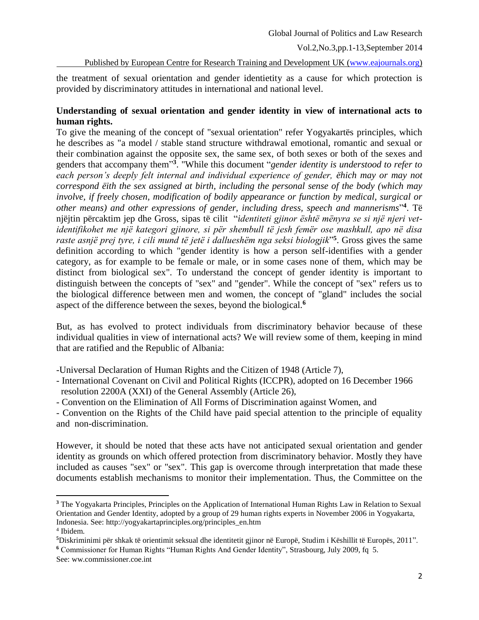Published by European Centre for Research Training and Development UK [\(www.eajournals.org\)](http://www.eajournals.org/)

the treatment of sexual orientation and gender identietity as a cause for which protection is provided by discriminatory attitudes in international and national level.

## **Understanding of sexual orientation and gender identity in view of international acts to human rights.**

To give the meaning of the concept of "sexual orientation" refer Yogyakartës principles, which he describes as "a model / stable stand structure withdrawal emotional, romantic and sexual or their combination against the opposite sex, the same sex, of both sexes or both of the sexes and genders that accompany them" **3** . "While this document "*gender identity is understood to refer to*  each person's deeply felt internal and individual experience of gender, ëhich may or may not *correspond ëith the sex assigned at birth, including the personal sense of the body (which may involve, if freely chosen, modification of bodily appearance or function by medical, surgical or other means) and other expressions of gender, including dress, speech and mannerisms*" **4** . Të njëjtin përcaktim jep dhe Gross, sipas të cilit "*identiteti gjinor ёshtё mënyra se si një njeri vetidentifikohet me një kategori gjinore, si për shembull tё jesh femër ose mashkull, apo nё disa raste asnjë prej tyre, i cili mund tё jetë i dallueshëm nga seksi biologjik*" **5** . Gross gives the same definition according to which "gender identity is how a person self-identifies with a gender category, as for example to be female or male, or in some cases none of them, which may be distinct from biological sex". To understand the concept of gender identity is important to distinguish between the concepts of "sex" and "gender". While the concept of "sex" refers us to the biological difference between men and women, the concept of "gland" includes the social aspect of the difference between the sexes, beyond the biological.**<sup>6</sup>**

But, as has evolved to protect individuals from discriminatory behavior because of these individual qualities in view of international acts? We will review some of them, keeping in mind that are ratified and the Republic of Albania:

-Universal Declaration of Human Rights and the Citizen of 1948 (Article 7),

- International Covenant on Civil and Political Rights (ICCPR), adopted on 16 December 1966 resolution 2200A (XXI) of the General Assembly (Article 26),
- Convention on the Elimination of All Forms of Discrimination against Women, and

- Convention on the Rights of the Child have paid special attention to the principle of equality and non-discrimination.

However, it should be noted that these acts have not anticipated sexual orientation and gender identity as grounds on which offered protection from discriminatory behavior. Mostly they have included as causes "sex" or "sex". This gap is overcome through interpretation that made these documents establish mechanisms to monitor their implementation. Thus, the Committee on the

 $\overline{\phantom{a}}$ 

**<sup>3</sup>** The Yogyakarta Principles, Principles on the Application of International Human Rights Law in Relation to Sexual Orientation and Gender Identity, adopted by a group of 29 human rights experts in November 2006 in Yogyakarta, Indonesia. See: http://yogyakartaprinciples.org/principles\_en.htm

<sup>4</sup> Ibidem.

**<sup>5</sup>**Diskriminimi për shkak të orientimit seksual dhe identitetit gjinor në Europë, Studim i Këshillit të Europës, 2011". **<sup>6</sup>** Commissioner for Human Rights "Human Rights And Gender Identity", Strasbourg, July 2009, fq 5.

See: ww.commissioner.coe.int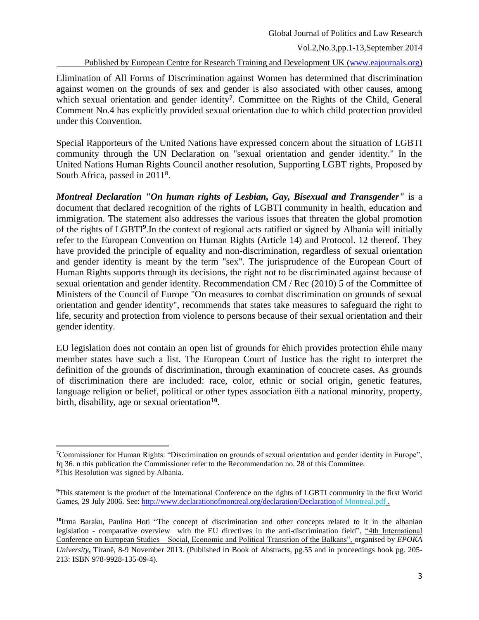Published by European Centre for Research Training and Development UK [\(www.eajournals.org\)](http://www.eajournals.org/)

Elimination of All Forms of Discrimination against Women has determined that discrimination against women on the grounds of sex and gender is also associated with other causes, among which sexual orientation and gender identity**<sup>7</sup>** . Committee on the Rights of the Child, General Comment No.4 has explicitly provided sexual orientation due to which child protection provided under this Convention.

Special Rapporteurs of the United Nations have expressed concern about the situation of LGBTI community through the UN Declaration on "sexual orientation and gender identity." In the United Nations Human Rights Council another resolution, Supporting LGBT rights, Proposed by South Africa, passed in 2011**<sup>8</sup>** .

*Montreal Declaration "On human rights of Lesbian, Gay, Bisexual and Transgender"* is a document that declared recognition of the rights of LGBTI community in health, education and immigration. The statement also addresses the various issues that threaten the global promotion of the rights of LGBTI**<sup>9</sup>** .In the context of regional acts ratified or signed by Albania will initially refer to the European Convention on Human Rights (Article 14) and Protocol. 12 thereof. They have provided the principle of equality and non-discrimination, regardless of sexual orientation and gender identity is meant by the term "sex". The jurisprudence of the European Court of Human Rights supports through its decisions, the right not to be discriminated against because of sexual orientation and gender identity. Recommendation CM / Rec (2010) 5 of the Committee of Ministers of the Council of Europe "On measures to combat discrimination on grounds of sexual orientation and gender identity", recommends that states take measures to safeguard the right to life, security and protection from violence to persons because of their sexual orientation and their gender identity.

EU legislation does not contain an open list of grounds for ëhich provides protection ëhile many member states have such a list. The European Court of Justice has the right to interpret the definition of the grounds of discrimination, through examination of concrete cases. As grounds of discrimination there are included: race, color, ethnic or social origin, genetic features, language religion or belief, political or other types association ëith a national minority, property, birth, disability, age or sexual orientation**<sup>10</sup>** .

 $\overline{\phantom{a}}$ 

**<sup>7</sup>**Commissioner for Human Rights: "Discrimination on grounds of sexual orientation and gender identity in Europe", fq 36. n this publication the Commissioner refer to the Recommendation no. 28 of this Committee. **<sup>8</sup>**This Resolution was signed by Albania.

**<sup>9</sup>**This statement is the product of the International Conference on the rights of LGBTI community in the first World Games, 29 July 2006. See: [http://www.declarationofmontreal.org/declaration/Declarationo](http://www.declarationofmontreal.org/declaration/Declaration)f Montreal.pdf .

**<sup>10</sup>**Irma Baraku, Paulina Hoti "The concept of discrimination and other concepts related to it in the albanian legislation - comparative overview with the EU directives in the anti-discrimination field", "4th International Conference on European Studies – Social, Economic and Political Transition of the Balkans", organised by *EPOKA* 

*University***,** Tiranë, 8-9 November 2013. (Published in Book of Abstracts, pg.55 and in proceedings book pg. 205- 213: ISBN 978-9928-135-09-4).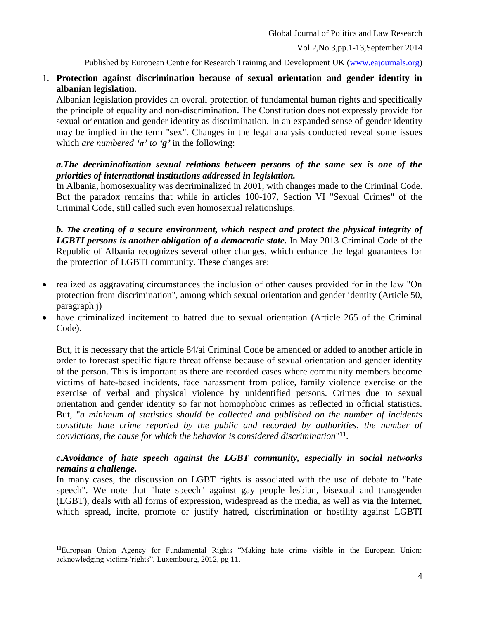Published by European Centre for Research Training and Development UK [\(www.eajournals.org\)](http://www.eajournals.org/)

# 1. **Protection against discrimination because of sexual orientation and gender identity in albanian legislation.**

Albanian legislation provides an overall protection of fundamental human rights and specifically the principle of equality and non-discrimination. The Constitution does not expressly provide for sexual orientation and gender identity as discrimination. In an expanded sense of gender identity may be implied in the term "sex". Changes in the legal analysis conducted reveal some issues which *are numbered 'a' to 'g'* in the following:

## *a.The decriminalization sexual relations between persons of the same sex is one of the priorities of international institutions addressed in legislation.*

In Albania, homosexuality was decriminalized in 2001, with changes made to the Criminal Code. But the paradox remains that while in articles 100-107, Section VI "Sexual Crimes" of the Criminal Code, still called such even homosexual relationships.

*b. The creating of a secure environment, which respect and protect the physical integrity of*  LGBTI persons is another obligation of a democratic state. In May 2013 Criminal Code of the Republic of Albania recognizes several other changes, which enhance the legal guarantees for the protection of LGBTI community. These changes are:

- realized as aggravating circumstances the inclusion of other causes provided for in the law "On protection from discrimination", among which sexual orientation and gender identity (Article 50, paragraph j)
- have criminalized incitement to hatred due to sexual orientation (Article 265 of the Criminal Code).

But, it is necessary that the article 84/ai Criminal Code be amended or added to another article in order to forecast specific figure threat offense because of sexual orientation and gender identity of the person. This is important as there are recorded cases where community members become victims of hate-based incidents, face harassment from police, family violence exercise or the exercise of verbal and physical violence by unidentified persons. Crimes due to sexual orientation and gender identity so far not homophobic crimes as reflected in official statistics. But, "*a minimum of statistics should be collected and published on the number of incidents constitute hate crime reported by the public and recorded by authorities, the number of convictions, the cause for which the behavior is considered discrimination*" **11** .

# *c.Avoidance of hate speech against the LGBT community, especially in social networks remains a challenge.*

In many cases, the discussion on LGBT rights is associated with the use of debate to "hate speech". We note that "hate speech" against gay people lesbian, bisexual and transgender (LGBT), deals with all forms of expression, widespread as the media, as well as via the Internet, which spread, incite, promote or justify hatred, discrimination or hostility against LGBTI

 $\overline{\phantom{a}}$ **<sup>11</sup>**European Union Agency for Fundamental Rights "Making hate crime visible in the European Union: acknowledging victims'rights", Luxembourg, 2012, pg 11.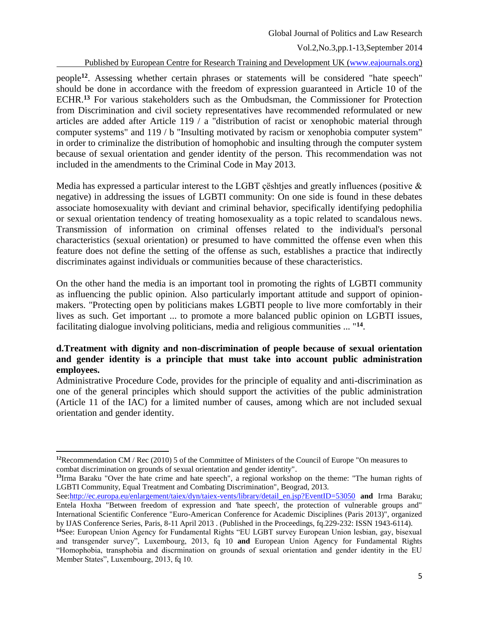Published by European Centre for Research Training and Development UK [\(www.eajournals.org\)](http://www.eajournals.org/)

people**<sup>12</sup>** . Assessing whether certain phrases or statements will be considered "hate speech" should be done in accordance with the freedom of expression guaranteed in Article 10 of the ECHR.**<sup>13</sup>** For various stakeholders such as the Ombudsman, the Commissioner for Protection from Discrimination and civil society representatives have recommended reformulated or new articles are added after Article 119 / a "distribution of racist or xenophobic material through computer systems" and 119 / b "Insulting motivated by racism or xenophobia computer system" in order to criminalize the distribution of homophobic and insulting through the computer system because of sexual orientation and gender identity of the person. This recommendation was not included in the amendments to the Criminal Code in May 2013.

Media has expressed a particular interest to the LGBT ceshties and greatly influences (positive  $\&$ negative) in addressing the issues of LGBTI community: On one side is found in these debates associate homosexuality with deviant and criminal behavior, specifically identifying pedophilia or sexual orientation tendency of treating homosexuality as a topic related to scandalous news. Transmission of information on criminal offenses related to the individual's personal characteristics (sexual orientation) or presumed to have committed the offense even when this feature does not define the setting of the offense as such, establishes a practice that indirectly discriminates against individuals or communities because of these characteristics.

On the other hand the media is an important tool in promoting the rights of LGBTI community as influencing the public opinion. Also particularly important attitude and support of opinionmakers. "Protecting open by politicians makes LGBTI people to live more comfortably in their lives as such. Get important ... to promote a more balanced public opinion on LGBTI issues, facilitating dialogue involving politicians, media and religious communities ... "**<sup>14</sup>** .

# **d.Treatment with dignity and non-discrimination of people because of sexual orientation and gender identity is a principle that must take into account public administration employees.**

Administrative Procedure Code, provides for the principle of equality and anti-discrimination as one of the general principles which should support the activities of the public administration (Article 11 of the IAC) for a limited number of causes, among which are not included sexual orientation and gender identity.

l

**<sup>13</sup>**Irma Baraku "Over the hate crime and hate speech", a regional workshop on the theme: "The human rights of LGBTI Community, Equal Treatment and Combating Discrimination", Beograd, 2013.

**<sup>12</sup>**Recommendation CM / Rec (2010) 5 of the Committee of Ministers of the Council of Europe "On measures to combat discrimination on grounds of sexual orientation and gender identity".

See[:http://ec.europa.eu/enlargement/taiex/dyn/taiex-vents/library/detail\\_en.jsp?EventID=53050](http://ec.europa.eu/enlargement/taiex/dyn/taiex-vents/library/detail_en.jsp?EventID=53050) **and** Irma Baraku; Entela Hoxha "Between freedom of expression and 'hate speech', the protection of vulnerable groups and" International Scientific Conference "Euro-American Conference for Academic Disciplines (Paris 2013)", organized by IJAS Conference Series, Paris, 8-11 April 2013 . (Published in the Proceedings, fq.229-232: ISSN 1943-6114).

**<sup>14</sup>**See: European Union Agency for Fundamental Rights "EU LGBT survey European Union lesbian, gay, bisexual and transgender survey", Luxembourg, 2013, fq 10 **and** European Union Agency for Fundamental Rights "Homophobia, transphobia and discrmination on grounds of sexual orientation and gender identity in the EU Member States", Luxembourg, 2013, fq 10.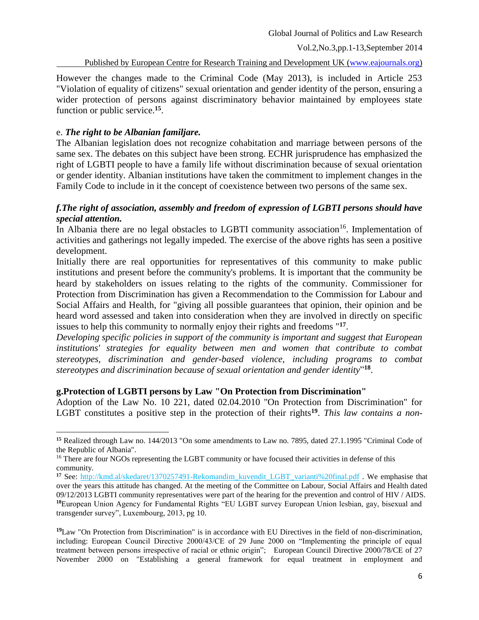Published by European Centre for Research Training and Development UK [\(www.eajournals.org\)](http://www.eajournals.org/)

However the changes made to the Criminal Code (May 2013), is included in Article 253 "Violation of equality of citizens" sexual orientation and gender identity of the person, ensuring a wider protection of persons against discriminatory behavior maintained by employees state function or public service. **15** .

## e. *The right to be Albanian familjare.*

 $\overline{\phantom{a}}$ 

The Albanian legislation does not recognize cohabitation and marriage between persons of the same sex. The debates on this subject have been strong. ECHR jurisprudence has emphasized the right of LGBTI people to have a family life without discrimination because of sexual orientation or gender identity. Albanian institutions have taken the commitment to implement changes in the Family Code to include in it the concept of coexistence between two persons of the same sex.

# *f.The right of association, assembly and freedom of expression of LGBTI persons should have special attention.*

In Albania there are no legal obstacles to LGBTI community association<sup>16</sup>. Implementation of activities and gatherings not legally impeded. The exercise of the above rights has seen a positive development.

Initially there are real opportunities for representatives of this community to make public institutions and present before the community's problems. It is important that the community be heard by stakeholders on issues relating to the rights of the community. Commissioner for Protection from Discrimination has given a Recommendation to the Commission for Labour and Social Affairs and Health, for "giving all possible guarantees that opinion, their opinion and be heard word assessed and taken into consideration when they are involved in directly on specific issues to help this community to normally enjoy their rights and freedoms "**<sup>17</sup>** .

*Developing specific policies in support of the community is important and suggest that European institutions' strategies for equality between men and women that contribute to combat stereotypes, discrimination and gender-based violence, including programs to combat stereotypes and discrimination because of sexual orientation and gender identity*" **18** .

### **g.Protection of LGBTI persons by Law "On Protection from Discrimination"**

Adoption of the Law No. 10 221, dated 02.04.2010 "On Protection from Discrimination" for LGBT constitutes a positive step in the protection of their rights**<sup>19</sup>** . *This law contains a non-*

**<sup>15</sup>** Realized through Law no. 144/2013 "On some amendments to Law no. 7895, dated 27.1.1995 "Criminal Code of the Republic of Albania".

<sup>&</sup>lt;sup>16</sup> There are four NGOs representing the LGBT community or have focused their activities in defense of this community.

**<sup>17</sup>** See: http://kmd.al/skedaret/1370257491-Rekomandim\_kuvendit\_LGBT\_varianti%20final.pdf . We emphasise that over the years this attitude has changed. At the meeting of the Committee on Labour, Social Affairs and Health dated 09/12/2013 LGBTI community representatives were part of the hearing for the prevention and control of HIV / AIDS. **<sup>18</sup>**European Union Agency for Fundamental Rights "EU LGBT survey European Union lesbian, gay, bisexual and transgender survey", Luxembourg, 2013, pg 10.

**<sup>19</sup>**Law "On Protection from Discrimination" is in accordance with EU Directives in the field of non-discrimination, including: European Council Directive 2000/43/CE of 29 June 2000 on "Implementing the principle of equal treatment between persons irrespective of racial or ethnic origin"; European Council Directive 2000/78/CE of 27 November 2000 on "Establishing a general framework for equal treatment in employment and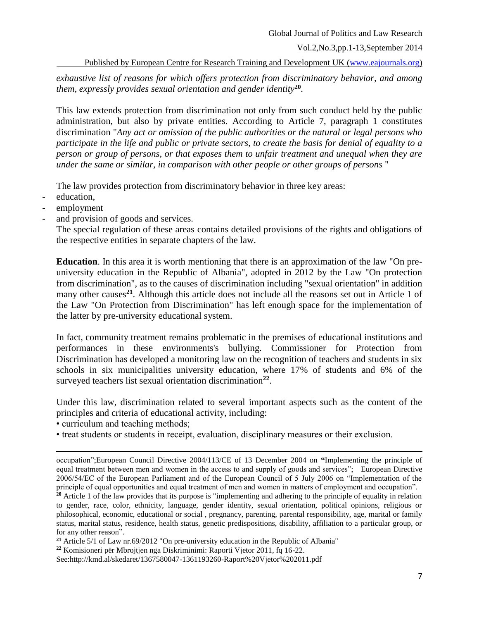Published by European Centre for Research Training and Development UK [\(www.eajournals.org\)](http://www.eajournals.org/)

*exhaustive list of reasons for which offers protection from discriminatory behavior, and among them, expressly provides sexual orientation and gender identity***<sup>20</sup>** *.*

This law extends protection from discrimination not only from such conduct held by the public administration, but also by private entities. According to Article 7, paragraph 1 constitutes discrimination "*Any act or omission of the public authorities or the natural or legal persons who participate in the life and public or private sectors, to create the basis for denial of equality to a person or group of persons, or that exposes them to unfair treatment and unequal when they are under the same or similar, in comparison with other people or other groups of persons* "

The law provides protection from discriminatory behavior in three key areas:

education,

l

- employment
- and provision of goods and services.

The special regulation of these areas contains detailed provisions of the rights and obligations of the respective entities in separate chapters of the law.

**Education**. In this area it is worth mentioning that there is an approximation of the law "On preuniversity education in the Republic of Albania", adopted in 2012 by the Law "On protection from discrimination", as to the causes of discrimination including "sexual orientation" in addition many other causes<sup>21</sup>. Although this article does not include all the reasons set out in Article 1 of the Law "On Protection from Discrimination" has left enough space for the implementation of the latter by pre-university educational system.

In fact, community treatment remains problematic in the premises of educational institutions and performances in these environments's bullying. Commissioner for Protection from Discrimination has developed a monitoring law on the recognition of teachers and students in six schools in six municipalities university education, where 17% of students and 6% of the surveyed teachers list sexual orientation discrimination<sup>22</sup>.

Under this law, discrimination related to several important aspects such as the content of the principles and criteria of educational activity, including:

• curriculum and teaching methods;

• treat students or students in receipt, evaluation, disciplinary measures or their exclusion.

See:http://kmd.al/skedaret/1367580047-1361193260-Raport%20Vjetor%202011.pdf

occupation";European Council Directive 2004/113/CE of 13 December 2004 on **"**Implementing the principle of equal treatment between men and women in the access to and supply of goods and services"; European Directive 2006/54/EC of the European Parliament and of the European Council of 5 July 2006 on "Implementation of the principle of equal opportunities and equal treatment of men and women in matters of employment and occupation".

**<sup>20</sup>** Article 1 of the law provides that its purpose is "implementing and adhering to the principle of equality in relation to gender, race, color, ethnicity, language, gender identity, sexual orientation, political opinions, religious or philosophical, economic, educational or social , pregnancy, parenting, parental responsibility, age, marital or family status, marital status, residence, health status, genetic predispositions, disability, affiliation to a particular group, or for any other reason".

**<sup>21</sup>** Article 5/1 of Law nr.69/2012 "On pre-university education in the Republic of Albania"

**<sup>22</sup>** Komisioneri për Mbrojtjen nga Diskriminimi: Raporti Vjetor 2011, fq 16-22.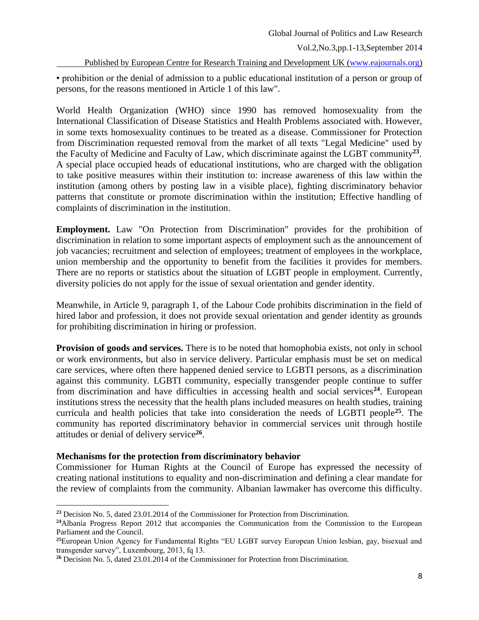Published by European Centre for Research Training and Development UK [\(www.eajournals.org\)](http://www.eajournals.org/)

• prohibition or the denial of admission to a public educational institution of a person or group of persons, for the reasons mentioned in Article 1 of this law".

World Health Organization (WHO) since 1990 has removed homosexuality from the International Classification of Disease Statistics and Health Problems associated with. However, in some texts homosexuality continues to be treated as a disease. Commissioner for Protection from Discrimination requested removal from the market of all texts "Legal Medicine" used by the Faculty of Medicine and Faculty of Law, which discriminate against the LGBT community**<sup>23</sup>** . A special place occupied heads of educational institutions, who are charged with the obligation to take positive measures within their institution to: increase awareness of this law within the institution (among others by posting law in a visible place), fighting discriminatory behavior patterns that constitute or promote discrimination within the institution; Effective handling of complaints of discrimination in the institution.

**Employment.** Law "On Protection from Discrimination" provides for the prohibition of discrimination in relation to some important aspects of employment such as the announcement of job vacancies; recruitment and selection of employees; treatment of employees in the workplace, union membership and the opportunity to benefit from the facilities it provides for members. There are no reports or statistics about the situation of LGBT people in employment. Currently, diversity policies do not apply for the issue of sexual orientation and gender identity.

Meanwhile, in Article 9, paragraph 1, of the Labour Code prohibits discrimination in the field of hired labor and profession, it does not provide sexual orientation and gender identity as grounds for prohibiting discrimination in hiring or profession.

**Provision of goods and services.** There is to be noted that homophobia exists, not only in school or work environments, but also in service delivery. Particular emphasis must be set on medical care services, where often there happened denied service to LGBTI persons, as a discrimination against this community. LGBTI community, especially transgender people continue to suffer from discrimination and have difficulties in accessing health and social services<sup>24</sup>. European institutions stress the necessity that the health plans included measures on health studies, training curricula and health policies that take into consideration the needs of LGBTI people**<sup>25</sup>** . The community has reported discriminatory behavior in commercial services unit through hostile attitudes or denial of delivery service**<sup>26</sup>** .

## **Mechanisms for the protection from discriminatory behavior**

l

Commissioner for Human Rights at the Council of Europe has expressed the necessity of creating national institutions to equality and non-discrimination and defining a clear mandate for the review of complaints from the community. Albanian lawmaker has overcome this difficulty.

**<sup>23</sup>** Decision No. 5, dated 23.01.2014 of the Commissioner for Protection from Discrimination.

**<sup>24</sup>**Albania Progress Report 2012 that accompanies the Communication from the Commission to the European Parliament and the Council.

**<sup>25</sup>**European Union Agency for Fundamental Rights "EU LGBT survey European Union lesbian, gay, bisexual and transgender survey", Luxembourg, 2013, fq 13.

**<sup>26</sup>** Decision No. 5, dated 23.01.2014 of the Commissioner for Protection from Discrimination.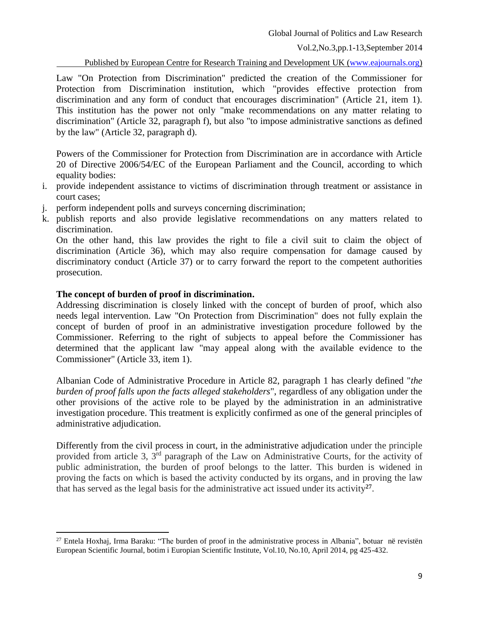Published by European Centre for Research Training and Development UK [\(www.eajournals.org\)](http://www.eajournals.org/)

Law "On Protection from Discrimination" predicted the creation of the Commissioner for Protection from Discrimination institution, which "provides effective protection from discrimination and any form of conduct that encourages discrimination" (Article 21, item 1). This institution has the power not only "make recommendations on any matter relating to discrimination" (Article 32, paragraph f), but also "to impose administrative sanctions as defined by the law" (Article 32, paragraph d).

Powers of the Commissioner for Protection from Discrimination are in accordance with Article 20 of Directive 2006/54/EC of the European Parliament and the Council, according to which equality bodies:

- i. provide independent assistance to victims of discrimination through treatment or assistance in court cases;
- j. perform independent polls and surveys concerning discrimination;
- k. publish reports and also provide legislative recommendations on any matters related to discrimination.

On the other hand, this law provides the right to file a civil suit to claim the object of discrimination (Article 36), which may also require compensation for damage caused by discriminatory conduct (Article 37) or to carry forward the report to the competent authorities prosecution.

### **The concept of burden of proof in discrimination.**

 $\overline{\phantom{a}}$ 

Addressing discrimination is closely linked with the concept of burden of proof, which also needs legal intervention. Law "On Protection from Discrimination" does not fully explain the concept of burden of proof in an administrative investigation procedure followed by the Commissioner. Referring to the right of subjects to appeal before the Commissioner has determined that the applicant law "may appeal along with the available evidence to the Commissioner" (Article 33, item 1).

Albanian Code of Administrative Procedure in Article 82, paragraph 1 has clearly defined "*the burden of proof falls upon the facts alleged stakeholders*", regardless of any obligation under the other provisions of the active role to be played by the administration in an administrative investigation procedure. This treatment is explicitly confirmed as one of the general principles of administrative adjudication.

Differently from the civil process in court, in the administrative adjudication under the principle provided from article 3, 3<sup>rd</sup> paragraph of the Law on Administrative Courts, for the activity of public administration, the burden of proof belongs to the latter. This burden is widened in proving the facts on which is based the activity conducted by its organs, and in proving the law that has served as the legal basis for the administrative act issued under its activity**<sup>27</sup>** .

<sup>27</sup> Entela Hoxhaj, Irma Baraku: "The burden of proof in the administrative process in Albania", botuar në revistën European Scientific Journal, botim i Europian Scientific Institute, Vol.10, No.10, April 2014, pg 425-432.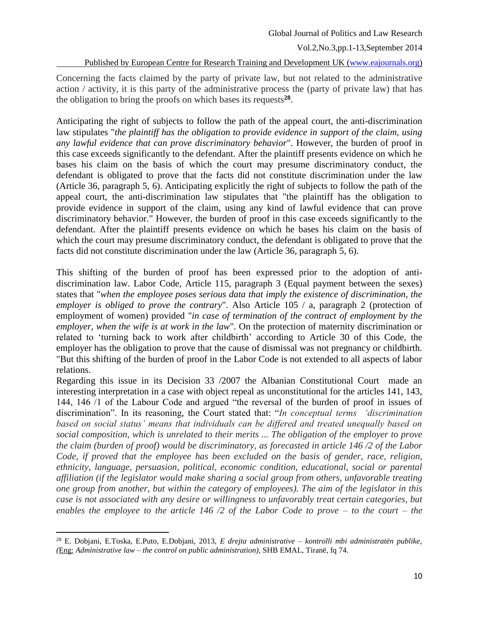Published by European Centre for Research Training and Development UK [\(www.eajournals.org\)](http://www.eajournals.org/)

Concerning the facts claimed by the party of private law, but not related to the administrative action / activity, it is this party of the administrative process the (party of private law) that has the obligation to bring the proofs on which bases its requests**<sup>28</sup>** .

Anticipating the right of subjects to follow the path of the appeal court, the anti-discrimination law stipulates "*the plaintiff has the obligation to provide evidence in support of the claim, using any lawful evidence that can prove discriminatory behavior*". However, the burden of proof in this case exceeds significantly to the defendant. After the plaintiff presents evidence on which he bases his claim on the basis of which the court may presume discriminatory conduct, the defendant is obligated to prove that the facts did not constitute discrimination under the law (Article 36, paragraph 5, 6). Anticipating explicitly the right of subjects to follow the path of the appeal court, the anti-discrimination law stipulates that "the plaintiff has the obligation to provide evidence in support of the claim, using any kind of lawful evidence that can prove discriminatory behavior." However, the burden of proof in this case exceeds significantly to the defendant. After the plaintiff presents evidence on which he bases his claim on the basis of which the court may presume discriminatory conduct, the defendant is obligated to prove that the facts did not constitute discrimination under the law (Article 36, paragraph 5, 6).

This shifting of the burden of proof has been expressed prior to the adoption of antidiscrimination law. Labor Code, Article 115, paragraph 3 (Equal payment between the sexes) states that "*when the employee poses serious data that imply the existence of discrimination, the employer is obliged to prove the contrary*". Also Article 105 / a, paragraph 2 (protection of employment of women) provided "*in case of termination of the contract of employment by the employer, when the wife is at work in the law*". On the protection of maternity discrimination or related to 'turning back to work after childbirth' according to Article 30 of this Code, the employer has the obligation to prove that the cause of dismissal was not pregnancy or childbirth. "But this shifting of the burden of proof in the Labor Code is not extended to all aspects of labor relations.

Regarding this issue in its Decision 33 /2007 the Albanian Constitutional Court made an interesting interpretation in a case with object repeal as unconstitutional for the articles 141, 143, 144, 146 /1 of the Labour Code and argued "the reversal of the burden of proof in issues of discrimination". In its reasoning, the Court stated that: "*In conceptual terms 'discrimination based on social status' means that individuals can be differed and treated unequally based on social composition, which is unrelated to their merits ... The obligation of the employer to prove the claim (burden of proof) would be discriminatory, as forecasted in article 146 /2 of the Labor Code, if proved that the employee has been excluded on the basis of gender, race, religion, ethnicity, language, persuasion, political, economic condition, educational, social or parental affiliation (if the legislator would make sharing a social group from others, unfavorable treating one group from another, but within the category of employees). The aim of the legislator in this case is not associated with any desire or willingness to unfavorably treat certain categories, but enables the employee to the article 146 /2 of the Labor Code to prove – to the court – the* 

 $\overline{\phantom{a}}$ <sup>28</sup> E. Dobjani, E.Toska, E.Puto, E.Dobjani, 2013, *E drejta administrative – kontrolli mbi administratën publike*, *(*Eng: *Administrative law – the control on public administration),* SHB EMAL, Tiranë, fq 74.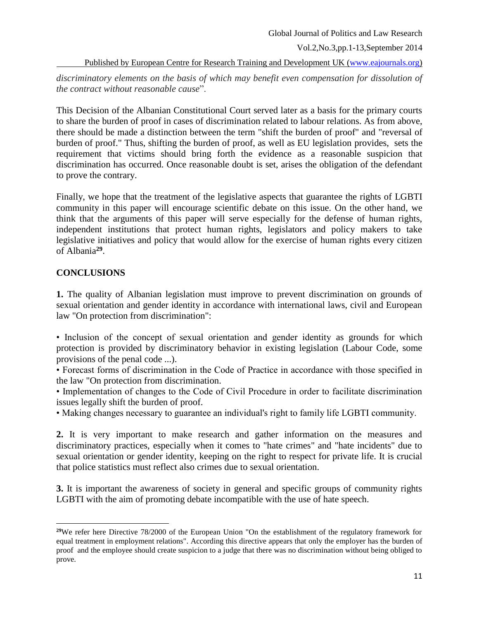#### Global Journal of Politics and Law Research

Vol.2,No.3,pp.1-13,September 2014

Published by European Centre for Research Training and Development UK [\(www.eajournals.org\)](http://www.eajournals.org/)

*discriminatory elements on the basis of which may benefit even compensation for dissolution of the contract without reasonable cause*".

This Decision of the Albanian Constitutional Court served later as a basis for the primary courts to share the burden of proof in cases of discrimination related to labour relations. As from above, there should be made a distinction between the term "shift the burden of proof" and "reversal of burden of proof." Thus, shifting the burden of proof, as well as EU legislation provides, sets the requirement that victims should bring forth the evidence as a reasonable suspicion that discrimination has occurred. Once reasonable doubt is set, arises the obligation of the defendant to prove the contrary.

Finally, we hope that the treatment of the legislative aspects that guarantee the rights of LGBTI community in this paper will encourage scientific debate on this issue. On the other hand, we think that the arguments of this paper will serve especially for the defense of human rights, independent institutions that protect human rights, legislators and policy makers to take legislative initiatives and policy that would allow for the exercise of human rights every citizen of Albania**<sup>29</sup>** .

# **CONCLUSIONS**

 $\overline{\phantom{a}}$ 

**1.** The quality of Albanian legislation must improve to prevent discrimination on grounds of sexual orientation and gender identity in accordance with international laws, civil and European law "On protection from discrimination":

• Inclusion of the concept of sexual orientation and gender identity as grounds for which protection is provided by discriminatory behavior in existing legislation (Labour Code, some provisions of the penal code ...).

• Forecast forms of discrimination in the Code of Practice in accordance with those specified in the law "On protection from discrimination.

• Implementation of changes to the Code of Civil Procedure in order to facilitate discrimination issues legally shift the burden of proof.

• Making changes necessary to guarantee an individual's right to family life LGBTI community.

**2.** It is very important to make research and gather information on the measures and discriminatory practices, especially when it comes to "hate crimes" and "hate incidents" due to sexual orientation or gender identity, keeping on the right to respect for private life. It is crucial that police statistics must reflect also crimes due to sexual orientation.

**3.** It is important the awareness of society in general and specific groups of community rights LGBTI with the aim of promoting debate incompatible with the use of hate speech.

<sup>&</sup>lt;sup>29</sup>We refer here Directive 78/2000 of the European Union "On the establishment of the regulatory framework for equal treatment in employment relations". According this directive appears that only the employer has the burden of proof and the employee should create suspicion to a judge that there was no discrimination without being obliged to prove.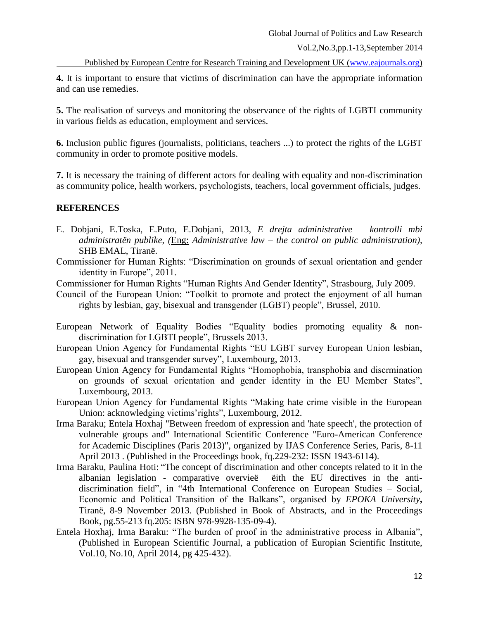Published by European Centre for Research Training and Development UK [\(www.eajournals.org\)](http://www.eajournals.org/)

**4.** It is important to ensure that victims of discrimination can have the appropriate information and can use remedies.

**5.** The realisation of surveys and monitoring the observance of the rights of LGBTI community in various fields as education, employment and services.

**6.** Inclusion public figures (journalists, politicians, teachers ...) to protect the rights of the LGBT community in order to promote positive models.

**7.** It is necessary the training of different actors for dealing with equality and non-discrimination as community police, health workers, psychologists, teachers, local government officials, judges.

# **REFERENCES**

- E. Dobjani, E.Toska, E.Puto, E.Dobjani, 2013, *E drejta administrative – kontrolli mbi administratën publike*, *(*Eng: *Administrative law – the control on public administration),* SHB EMAL, Tiranë.
- Commissioner for Human Rights: "Discrimination on grounds of sexual orientation and gender identity in Europe", 2011.

Commissioner for Human Rights "Human Rights And Gender Identity", Strasbourg, July 2009.

Council of the European Union: "Toolkit to promote and protect the enjoyment of all human rights by lesbian, gay, bisexual and transgender (LGBT) people", Brussel, 2010.

- European Network of Equality Bodies "Equality bodies promoting equality & nondiscrimination for LGBTI people", Brussels 2013.
- European Union Agency for Fundamental Rights "EU LGBT survey European Union lesbian, gay, bisexual and transgender survey", Luxembourg, 2013.
- European Union Agency for Fundamental Rights "Homophobia, transphobia and discrmination on grounds of sexual orientation and gender identity in the EU Member States", Luxembourg, 2013.
- European Union Agency for Fundamental Rights "Making hate crime visible in the European Union: acknowledging victims'rights", Luxembourg, 2012.
- Irma Baraku; Entela Hoxhaj "Between freedom of expression and 'hate speech', the protection of vulnerable groups and" International Scientific Conference "Euro-American Conference for Academic Disciplines (Paris 2013)", organized by IJAS Conference Series, Paris, 8-11 April 2013 . (Published in the Proceedings book, fq.229-232: ISSN 1943-6114).
- Irma Baraku, Paulina Hoti: "The concept of discrimination and other concepts related to it in the albanian legislation - comparative overvieë ëith the EU directives in the antidiscrimination field", in "4th International Conference on European Studies – Social, Economic and Political Transition of the Balkans", organised by *EPOKA University***,**  Tiranë, 8-9 November 2013. (Published in Book of Abstracts, and in the Proceedings Book, pg.55-213 fq.205: ISBN 978-9928-135-09-4).
- Entela Hoxhaj, Irma Baraku: "The burden of proof in the administrative process in Albania", (Published in European Scientific Journal, a publication of Europian Scientific Institute, Vol.10, No.10, April 2014, pg 425-432).